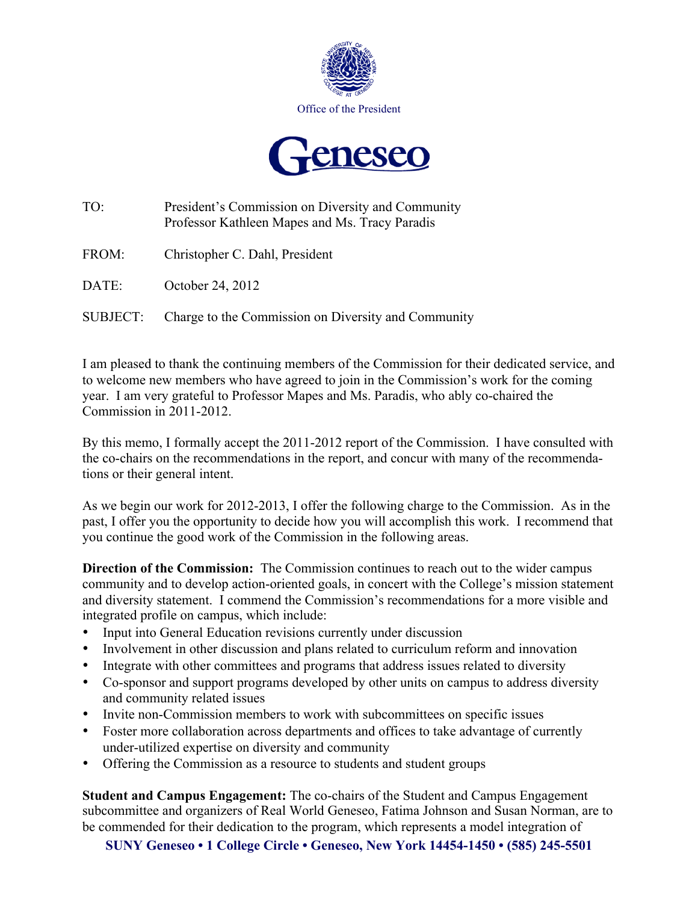



| TO:      | President's Commission on Diversity and Community<br>Professor Kathleen Mapes and Ms. Tracy Paradis |
|----------|-----------------------------------------------------------------------------------------------------|
| FROM:    | Christopher C. Dahl, President                                                                      |
| DATE:    | October 24, 2012                                                                                    |
| SUBJECT: | Charge to the Commission on Diversity and Community                                                 |

I am pleased to thank the continuing members of the Commission for their dedicated service, and to welcome new members who have agreed to join in the Commission's work for the coming year. I am very grateful to Professor Mapes and Ms. Paradis, who ably co-chaired the Commission in 2011-2012.

By this memo, I formally accept the 2011-2012 report of the Commission. I have consulted with the co-chairs on the recommendations in the report, and concur with many of the recommendations or their general intent.

As we begin our work for 2012-2013, I offer the following charge to the Commission. As in the past, I offer you the opportunity to decide how you will accomplish this work. I recommend that you continue the good work of the Commission in the following areas.

**Direction of the Commission:** The Commission continues to reach out to the wider campus community and to develop action-oriented goals, in concert with the College's mission statement and diversity statement. I commend the Commission's recommendations for a more visible and integrated profile on campus, which include:

- Input into General Education revisions currently under discussion
- Involvement in other discussion and plans related to curriculum reform and innovation
- Integrate with other committees and programs that address issues related to diversity
- Co-sponsor and support programs developed by other units on campus to address diversity and community related issues
- Invite non-Commission members to work with subcommittees on specific issues
- Foster more collaboration across departments and offices to take advantage of currently under-utilized expertise on diversity and community
- Offering the Commission as a resource to students and student groups

**Student and Campus Engagement:** The co-chairs of the Student and Campus Engagement subcommittee and organizers of Real World Geneseo, Fatima Johnson and Susan Norman, are to be commended for their dedication to the program, which represents a model integration of

**SUNY Geneseo • 1 College Circle • Geneseo, New York 14454-1450 • (585) 245-5501**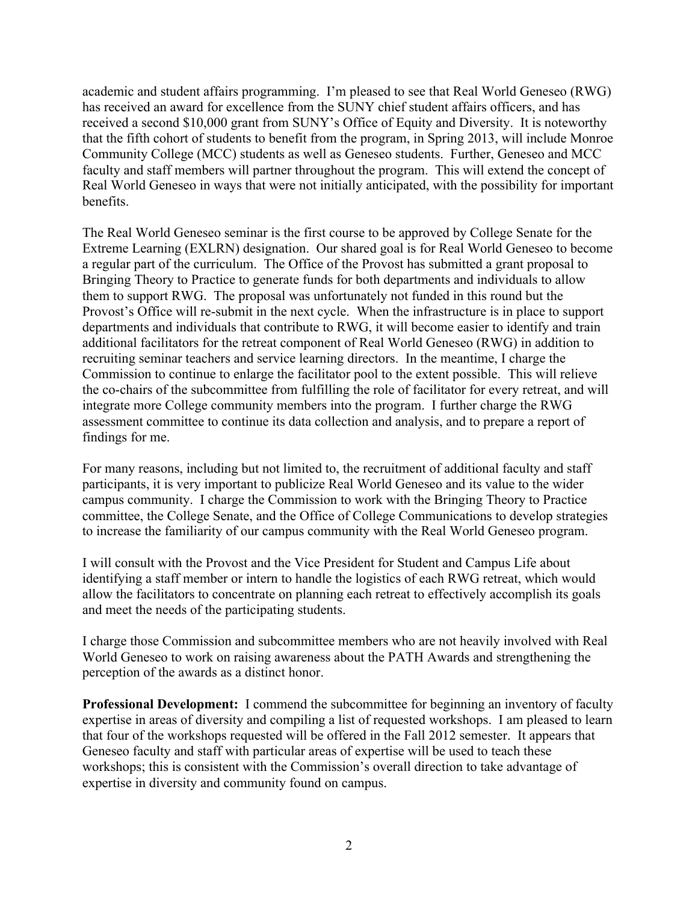academic and student affairs programming. I'm pleased to see that Real World Geneseo (RWG) has received an award for excellence from the SUNY chief student affairs officers, and has received a second \$10,000 grant from SUNY's Office of Equity and Diversity. It is noteworthy that the fifth cohort of students to benefit from the program, in Spring 2013, will include Monroe Community College (MCC) students as well as Geneseo students. Further, Geneseo and MCC faculty and staff members will partner throughout the program. This will extend the concept of Real World Geneseo in ways that were not initially anticipated, with the possibility for important benefits.

The Real World Geneseo seminar is the first course to be approved by College Senate for the Extreme Learning (EXLRN) designation. Our shared goal is for Real World Geneseo to become a regular part of the curriculum. The Office of the Provost has submitted a grant proposal to Bringing Theory to Practice to generate funds for both departments and individuals to allow them to support RWG. The proposal was unfortunately not funded in this round but the Provost's Office will re-submit in the next cycle. When the infrastructure is in place to support departments and individuals that contribute to RWG, it will become easier to identify and train additional facilitators for the retreat component of Real World Geneseo (RWG) in addition to recruiting seminar teachers and service learning directors. In the meantime, I charge the Commission to continue to enlarge the facilitator pool to the extent possible. This will relieve the co-chairs of the subcommittee from fulfilling the role of facilitator for every retreat, and will integrate more College community members into the program. I further charge the RWG assessment committee to continue its data collection and analysis, and to prepare a report of findings for me.

For many reasons, including but not limited to, the recruitment of additional faculty and staff participants, it is very important to publicize Real World Geneseo and its value to the wider campus community. I charge the Commission to work with the Bringing Theory to Practice committee, the College Senate, and the Office of College Communications to develop strategies to increase the familiarity of our campus community with the Real World Geneseo program.

I will consult with the Provost and the Vice President for Student and Campus Life about identifying a staff member or intern to handle the logistics of each RWG retreat, which would allow the facilitators to concentrate on planning each retreat to effectively accomplish its goals and meet the needs of the participating students.

I charge those Commission and subcommittee members who are not heavily involved with Real World Geneseo to work on raising awareness about the PATH Awards and strengthening the perception of the awards as a distinct honor.

**Professional Development:** I commend the subcommittee for beginning an inventory of faculty expertise in areas of diversity and compiling a list of requested workshops. I am pleased to learn that four of the workshops requested will be offered in the Fall 2012 semester. It appears that Geneseo faculty and staff with particular areas of expertise will be used to teach these workshops; this is consistent with the Commission's overall direction to take advantage of expertise in diversity and community found on campus.